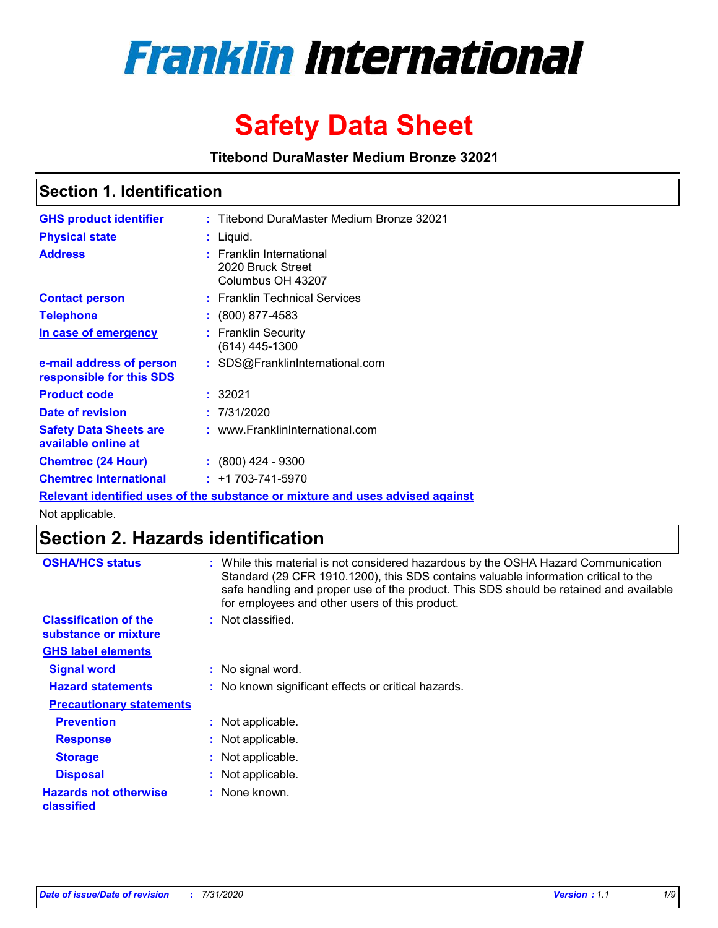

# **Safety Data Sheet**

**Titebond DuraMaster Medium Bronze 32021**

### **Section 1. Identification**

| <b>GHS product identifier</b>                                                 |  | : Titebond DuraMaster Medium Bronze 32021                          |  |  |
|-------------------------------------------------------------------------------|--|--------------------------------------------------------------------|--|--|
| <b>Physical state</b>                                                         |  | $:$ Liquid.                                                        |  |  |
| <b>Address</b>                                                                |  | : Franklin International<br>2020 Bruck Street<br>Columbus OH 43207 |  |  |
| <b>Contact person</b>                                                         |  | : Franklin Technical Services                                      |  |  |
| <b>Telephone</b>                                                              |  | $\div$ (800) 877-4583                                              |  |  |
| In case of emergency                                                          |  | : Franklin Security<br>(614) 445-1300                              |  |  |
| e-mail address of person<br>responsible for this SDS                          |  | : SDS@FranklinInternational.com                                    |  |  |
| <b>Product code</b>                                                           |  | : 32021                                                            |  |  |
| Date of revision                                                              |  | : 7/31/2020                                                        |  |  |
| <b>Safety Data Sheets are</b><br>available online at                          |  | : www.FranklinInternational.com                                    |  |  |
| <b>Chemtrec (24 Hour)</b>                                                     |  | $: (800)$ 424 - 9300                                               |  |  |
| <b>Chemtrec International</b>                                                 |  | $: +1703 - 741 - 5970$                                             |  |  |
| Relevant identified uses of the substance or mixture and uses advised against |  |                                                                    |  |  |

Not applicable.

# **Section 2. Hazards identification**

| <b>OSHA/HCS status</b>                               | While this material is not considered hazardous by the OSHA Hazard Communication<br>Standard (29 CFR 1910.1200), this SDS contains valuable information critical to the<br>safe handling and proper use of the product. This SDS should be retained and available<br>for employees and other users of this product. |
|------------------------------------------------------|---------------------------------------------------------------------------------------------------------------------------------------------------------------------------------------------------------------------------------------------------------------------------------------------------------------------|
| <b>Classification of the</b><br>substance or mixture | Not classified.<br>÷.                                                                                                                                                                                                                                                                                               |
| <b>GHS label elements</b>                            |                                                                                                                                                                                                                                                                                                                     |
| <b>Signal word</b>                                   | : No signal word.                                                                                                                                                                                                                                                                                                   |
| <b>Hazard statements</b>                             | : No known significant effects or critical hazards.                                                                                                                                                                                                                                                                 |
| <b>Precautionary statements</b>                      |                                                                                                                                                                                                                                                                                                                     |
| <b>Prevention</b>                                    | : Not applicable.                                                                                                                                                                                                                                                                                                   |
| <b>Response</b>                                      | Not applicable.                                                                                                                                                                                                                                                                                                     |
| <b>Storage</b>                                       | Not applicable.                                                                                                                                                                                                                                                                                                     |
| <b>Disposal</b>                                      | Not applicable.                                                                                                                                                                                                                                                                                                     |
| <b>Hazards not otherwise</b><br>classified           | None known.                                                                                                                                                                                                                                                                                                         |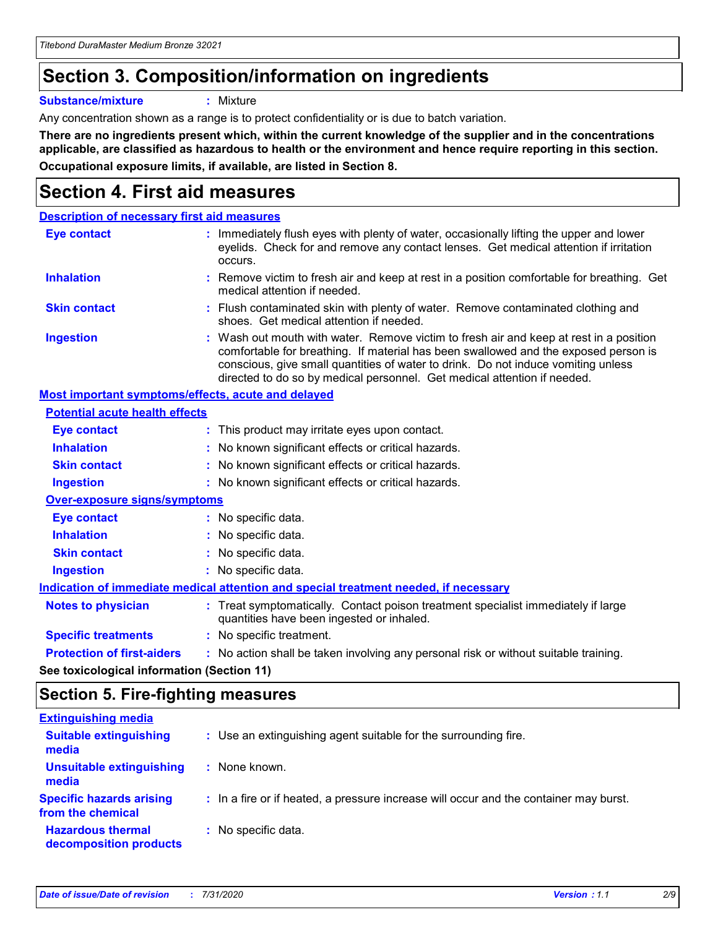# **Section 3. Composition/information on ingredients**

**Substance/mixture :** Mixture

Any concentration shown as a range is to protect confidentiality or is due to batch variation.

**There are no ingredients present which, within the current knowledge of the supplier and in the concentrations applicable, are classified as hazardous to health or the environment and hence require reporting in this section. Occupational exposure limits, if available, are listed in Section 8.**

# **Section 4. First aid measures**

| <b>Description of necessary first aid measures</b>        |                                                                                                                                                                                                                                                                                                                                                |
|-----------------------------------------------------------|------------------------------------------------------------------------------------------------------------------------------------------------------------------------------------------------------------------------------------------------------------------------------------------------------------------------------------------------|
| <b>Eye contact</b>                                        | : Immediately flush eyes with plenty of water, occasionally lifting the upper and lower<br>eyelids. Check for and remove any contact lenses. Get medical attention if irritation<br>occurs.                                                                                                                                                    |
| <b>Inhalation</b>                                         | : Remove victim to fresh air and keep at rest in a position comfortable for breathing. Get<br>medical attention if needed.                                                                                                                                                                                                                     |
| <b>Skin contact</b>                                       | : Flush contaminated skin with plenty of water. Remove contaminated clothing and<br>shoes. Get medical attention if needed.                                                                                                                                                                                                                    |
| <b>Ingestion</b>                                          | : Wash out mouth with water. Remove victim to fresh air and keep at rest in a position<br>comfortable for breathing. If material has been swallowed and the exposed person is<br>conscious, give small quantities of water to drink. Do not induce vomiting unless<br>directed to do so by medical personnel. Get medical attention if needed. |
| <b>Most important symptoms/effects, acute and delayed</b> |                                                                                                                                                                                                                                                                                                                                                |
| <b>Potential acute health effects</b>                     |                                                                                                                                                                                                                                                                                                                                                |
| <b>Eye contact</b>                                        | : This product may irritate eyes upon contact.                                                                                                                                                                                                                                                                                                 |
| <b>Inhalation</b>                                         | : No known significant effects or critical hazards.                                                                                                                                                                                                                                                                                            |
| <b>Skin contact</b>                                       | : No known significant effects or critical hazards.                                                                                                                                                                                                                                                                                            |
| <b>Ingestion</b>                                          | : No known significant effects or critical hazards.                                                                                                                                                                                                                                                                                            |
| <b>Over-exposure signs/symptoms</b>                       |                                                                                                                                                                                                                                                                                                                                                |
| Eye contact                                               | : No specific data.                                                                                                                                                                                                                                                                                                                            |
| <b>Inhalation</b>                                         | : No specific data.                                                                                                                                                                                                                                                                                                                            |
| <b>Skin contact</b>                                       | : No specific data.                                                                                                                                                                                                                                                                                                                            |
| <b>Ingestion</b>                                          | : No specific data.                                                                                                                                                                                                                                                                                                                            |
|                                                           | Indication of immediate medical attention and special treatment needed, if necessary                                                                                                                                                                                                                                                           |
| <b>Notes to physician</b>                                 | : Treat symptomatically. Contact poison treatment specialist immediately if large<br>quantities have been ingested or inhaled.                                                                                                                                                                                                                 |
| <b>Specific treatments</b>                                | : No specific treatment.                                                                                                                                                                                                                                                                                                                       |
| <b>Protection of first-aiders</b>                         | : No action shall be taken involving any personal risk or without suitable training.                                                                                                                                                                                                                                                           |
|                                                           |                                                                                                                                                                                                                                                                                                                                                |

**See toxicological information (Section 11)**

### **Section 5. Fire-fighting measures**

| <b>Extinguishing media</b>                           |                                                                                       |
|------------------------------------------------------|---------------------------------------------------------------------------------------|
| <b>Suitable extinguishing</b><br>media               | : Use an extinguishing agent suitable for the surrounding fire.                       |
| <b>Unsuitable extinguishing</b><br>media             | : None known.                                                                         |
| <b>Specific hazards arising</b><br>from the chemical | : In a fire or if heated, a pressure increase will occur and the container may burst. |
| <b>Hazardous thermal</b><br>decomposition products   | : No specific data.                                                                   |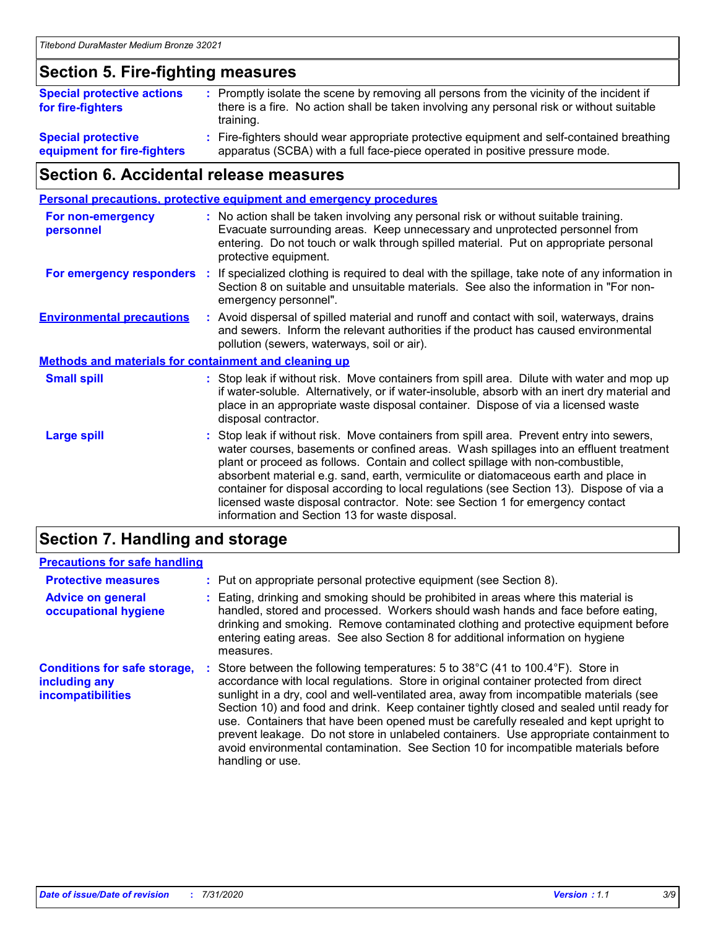### **Section 5. Fire-fighting measures**

| <b>Special protective actions</b><br>for fire-fighters | : Promptly isolate the scene by removing all persons from the vicinity of the incident if<br>there is a fire. No action shall be taken involving any personal risk or without suitable<br>training. |
|--------------------------------------------------------|-----------------------------------------------------------------------------------------------------------------------------------------------------------------------------------------------------|
| <b>Special protective</b>                              | Fire-fighters should wear appropriate protective equipment and self-contained breathing                                                                                                             |
| equipment for fire-fighters                            | apparatus (SCBA) with a full face-piece operated in positive pressure mode.                                                                                                                         |

### **Section 6. Accidental release measures**

|                                                              |    | <b>Personal precautions, protective equipment and emergency procedures</b>                                                                                                                                                                                                                                                                                                                                                                                                                                                                                                                 |
|--------------------------------------------------------------|----|--------------------------------------------------------------------------------------------------------------------------------------------------------------------------------------------------------------------------------------------------------------------------------------------------------------------------------------------------------------------------------------------------------------------------------------------------------------------------------------------------------------------------------------------------------------------------------------------|
| <b>For non-emergency</b><br>personnel                        |    | : No action shall be taken involving any personal risk or without suitable training.<br>Evacuate surrounding areas. Keep unnecessary and unprotected personnel from<br>entering. Do not touch or walk through spilled material. Put on appropriate personal<br>protective equipment.                                                                                                                                                                                                                                                                                                       |
| For emergency responders                                     | ÷. | If specialized clothing is required to deal with the spillage, take note of any information in<br>Section 8 on suitable and unsuitable materials. See also the information in "For non-<br>emergency personnel".                                                                                                                                                                                                                                                                                                                                                                           |
| <b>Environmental precautions</b>                             |    | : Avoid dispersal of spilled material and runoff and contact with soil, waterways, drains<br>and sewers. Inform the relevant authorities if the product has caused environmental<br>pollution (sewers, waterways, soil or air).                                                                                                                                                                                                                                                                                                                                                            |
| <b>Methods and materials for containment and cleaning up</b> |    |                                                                                                                                                                                                                                                                                                                                                                                                                                                                                                                                                                                            |
| <b>Small spill</b>                                           |    | : Stop leak if without risk. Move containers from spill area. Dilute with water and mop up<br>if water-soluble. Alternatively, or if water-insoluble, absorb with an inert dry material and<br>place in an appropriate waste disposal container. Dispose of via a licensed waste<br>disposal contractor.                                                                                                                                                                                                                                                                                   |
| <b>Large spill</b>                                           |    | : Stop leak if without risk. Move containers from spill area. Prevent entry into sewers,<br>water courses, basements or confined areas. Wash spillages into an effluent treatment<br>plant or proceed as follows. Contain and collect spillage with non-combustible,<br>absorbent material e.g. sand, earth, vermiculite or diatomaceous earth and place in<br>container for disposal according to local regulations (see Section 13). Dispose of via a<br>licensed waste disposal contractor. Note: see Section 1 for emergency contact<br>information and Section 13 for waste disposal. |
|                                                              |    |                                                                                                                                                                                                                                                                                                                                                                                                                                                                                                                                                                                            |

### **Section 7. Handling and storage**

### **Precautions for safe handling**

| <b>Protective measures</b>                                                | : Put on appropriate personal protective equipment (see Section 8).                                                                                                                                                                                                                                                                                                                                                                                                                                                                                                                                                                                      |
|---------------------------------------------------------------------------|----------------------------------------------------------------------------------------------------------------------------------------------------------------------------------------------------------------------------------------------------------------------------------------------------------------------------------------------------------------------------------------------------------------------------------------------------------------------------------------------------------------------------------------------------------------------------------------------------------------------------------------------------------|
| <b>Advice on general</b><br>occupational hygiene                          | Eating, drinking and smoking should be prohibited in areas where this material is<br>handled, stored and processed. Workers should wash hands and face before eating,<br>drinking and smoking. Remove contaminated clothing and protective equipment before<br>entering eating areas. See also Section 8 for additional information on hygiene<br>measures.                                                                                                                                                                                                                                                                                              |
| <b>Conditions for safe storage,</b><br>including any<br>incompatibilities | Store between the following temperatures: 5 to 38°C (41 to 100.4°F). Store in<br>accordance with local regulations. Store in original container protected from direct<br>sunlight in a dry, cool and well-ventilated area, away from incompatible materials (see<br>Section 10) and food and drink. Keep container tightly closed and sealed until ready for<br>use. Containers that have been opened must be carefully resealed and kept upright to<br>prevent leakage. Do not store in unlabeled containers. Use appropriate containment to<br>avoid environmental contamination. See Section 10 for incompatible materials before<br>handling or use. |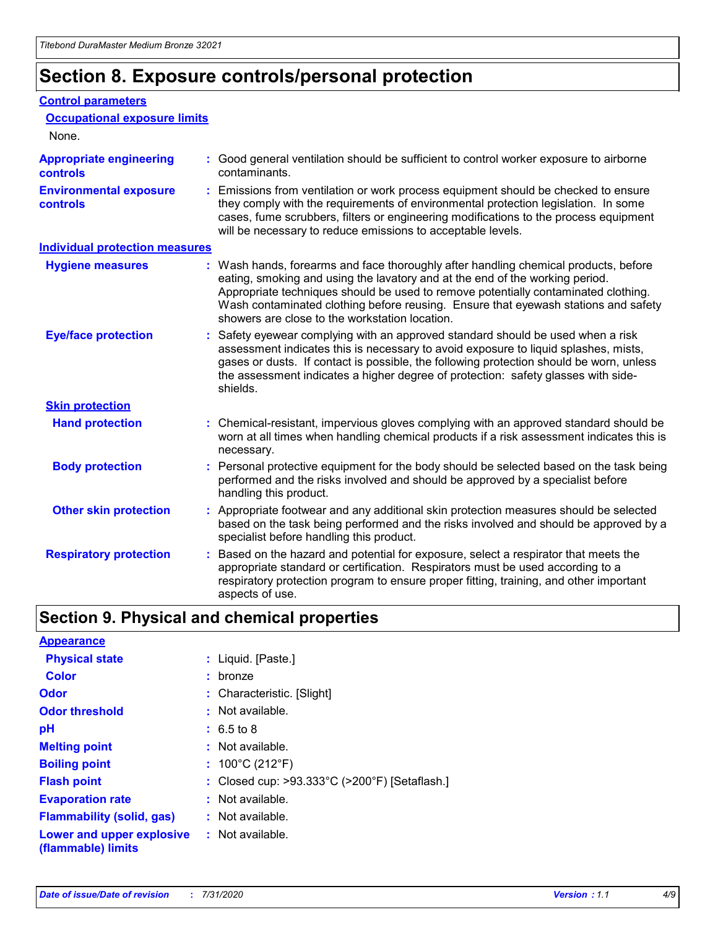# **Section 8. Exposure controls/personal protection**

#### **Control parameters**

| <b>Occupational exposure limits</b>               |                                                                                                                                                                                                                                                                                                                                                                                                   |
|---------------------------------------------------|---------------------------------------------------------------------------------------------------------------------------------------------------------------------------------------------------------------------------------------------------------------------------------------------------------------------------------------------------------------------------------------------------|
| None.                                             |                                                                                                                                                                                                                                                                                                                                                                                                   |
| <b>Appropriate engineering</b><br><b>controls</b> | : Good general ventilation should be sufficient to control worker exposure to airborne<br>contaminants.                                                                                                                                                                                                                                                                                           |
| <b>Environmental exposure</b><br><b>controls</b>  | : Emissions from ventilation or work process equipment should be checked to ensure<br>they comply with the requirements of environmental protection legislation. In some<br>cases, fume scrubbers, filters or engineering modifications to the process equipment<br>will be necessary to reduce emissions to acceptable levels.                                                                   |
| <b>Individual protection measures</b>             |                                                                                                                                                                                                                                                                                                                                                                                                   |
| <b>Hygiene measures</b>                           | : Wash hands, forearms and face thoroughly after handling chemical products, before<br>eating, smoking and using the lavatory and at the end of the working period.<br>Appropriate techniques should be used to remove potentially contaminated clothing.<br>Wash contaminated clothing before reusing. Ensure that eyewash stations and safety<br>showers are close to the workstation location. |
| <b>Eye/face protection</b>                        | : Safety eyewear complying with an approved standard should be used when a risk<br>assessment indicates this is necessary to avoid exposure to liquid splashes, mists,<br>gases or dusts. If contact is possible, the following protection should be worn, unless<br>the assessment indicates a higher degree of protection: safety glasses with side-<br>shields.                                |
| <b>Skin protection</b>                            |                                                                                                                                                                                                                                                                                                                                                                                                   |
| <b>Hand protection</b>                            | : Chemical-resistant, impervious gloves complying with an approved standard should be<br>worn at all times when handling chemical products if a risk assessment indicates this is<br>necessary.                                                                                                                                                                                                   |
| <b>Body protection</b>                            | : Personal protective equipment for the body should be selected based on the task being<br>performed and the risks involved and should be approved by a specialist before<br>handling this product.                                                                                                                                                                                               |
| <b>Other skin protection</b>                      | : Appropriate footwear and any additional skin protection measures should be selected<br>based on the task being performed and the risks involved and should be approved by a<br>specialist before handling this product.                                                                                                                                                                         |
| <b>Respiratory protection</b>                     | Based on the hazard and potential for exposure, select a respirator that meets the<br>appropriate standard or certification. Respirators must be used according to a<br>respiratory protection program to ensure proper fitting, training, and other important<br>aspects of use.                                                                                                                 |

# **Section 9. Physical and chemical properties**

| <b>Appearance</b>                                                       |                                               |
|-------------------------------------------------------------------------|-----------------------------------------------|
| <b>Physical state</b>                                                   | : Liquid. [Paste.]                            |
| <b>Color</b>                                                            | : bronze                                      |
| Odor                                                                    | : Characteristic. [Slight]                    |
| <b>Odor threshold</b>                                                   | : Not available.                              |
| рH                                                                      | $: 6.5 \text{ to } 8$                         |
| <b>Melting point</b>                                                    | $:$ Not available.                            |
| <b>Boiling point</b>                                                    | : $100^{\circ}$ C (212 $^{\circ}$ F)          |
| <b>Flash point</b>                                                      | : Closed cup: >93.333°C (>200°F) [Setaflash.] |
| <b>Evaporation rate</b>                                                 | $:$ Not available.                            |
| <b>Flammability (solid, gas)</b>                                        | $:$ Not available.                            |
| <b>Lower and upper explosive : Not available.</b><br>(flammable) limits |                                               |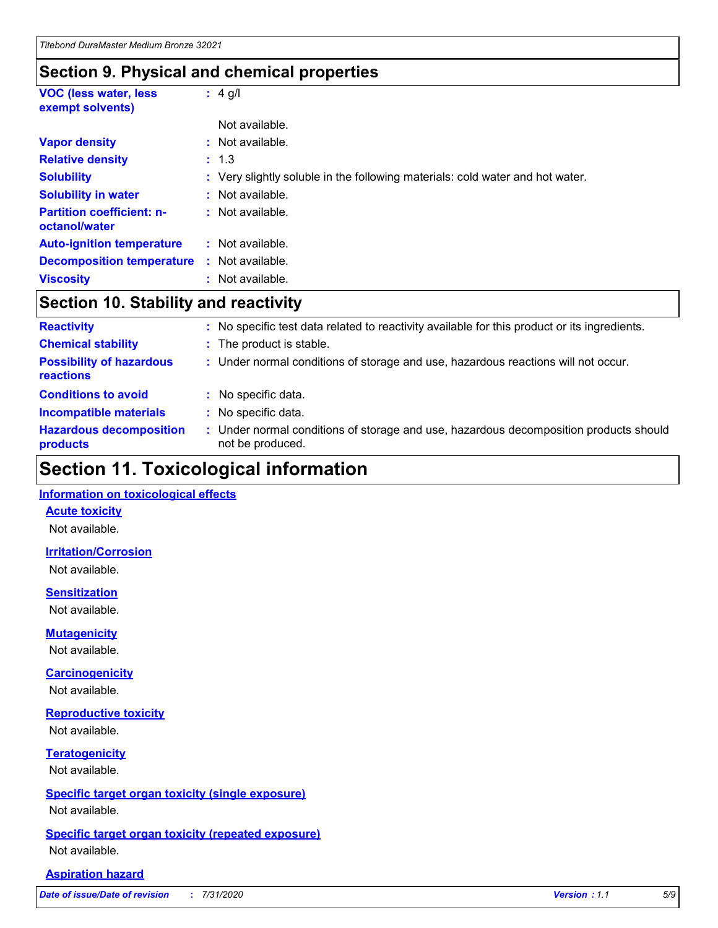### **Section 9. Physical and chemical properties**

| <b>VOC (less water, less)</b><br>exempt solvents) | $: 4$ g/l                                                                     |
|---------------------------------------------------|-------------------------------------------------------------------------------|
|                                                   | Not available.                                                                |
| <b>Vapor density</b>                              | $:$ Not available.                                                            |
| <b>Relative density</b>                           | : 1.3                                                                         |
| <b>Solubility</b>                                 | : Very slightly soluble in the following materials: cold water and hot water. |
| <b>Solubility in water</b>                        | Not available.                                                                |
| <b>Partition coefficient: n-</b><br>octanol/water | : Not available.                                                              |
| <b>Auto-ignition temperature</b>                  | $:$ Not available.                                                            |
| <b>Decomposition temperature</b>                  | Not available.                                                                |
| <b>Viscosity</b>                                  | : Not available.                                                              |

### **Section 10. Stability and reactivity**

| <b>Reactivity</b>                            | : No specific test data related to reactivity available for this product or its ingredients.              |
|----------------------------------------------|-----------------------------------------------------------------------------------------------------------|
| <b>Chemical stability</b>                    | : The product is stable.                                                                                  |
| <b>Possibility of hazardous</b><br>reactions | : Under normal conditions of storage and use, hazardous reactions will not occur.                         |
| <b>Conditions to avoid</b>                   | : No specific data.                                                                                       |
| <b>Incompatible materials</b>                | : No specific data.                                                                                       |
| <b>Hazardous decomposition</b><br>products   | : Under normal conditions of storage and use, hazardous decomposition products should<br>not be produced. |

# **Section 11. Toxicological information**

#### **Information on toxicological effects**

#### **Acute toxicity**

Not available.

#### **Irritation/Corrosion**

Not available.

#### **Sensitization**

Not available.

#### **Mutagenicity**

Not available.

#### **Carcinogenicity**

Not available.

#### **Reproductive toxicity**

Not available.

### **Teratogenicity**

Not available.

#### **Specific target organ toxicity (single exposure)**

Not available.

#### **Specific target organ toxicity (repeated exposure)** Not available.

#### **Aspiration hazard**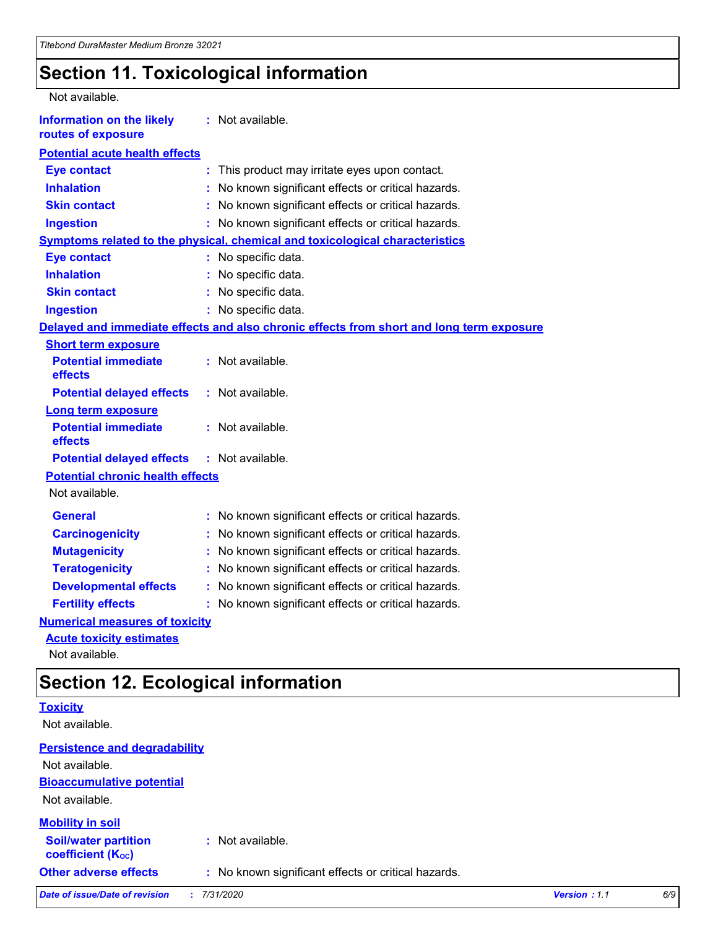# **Section 11. Toxicological information**

| Not available.                                         |                                                                                          |
|--------------------------------------------------------|------------------------------------------------------------------------------------------|
| <b>Information on the likely</b><br>routes of exposure | : Not available.                                                                         |
| <b>Potential acute health effects</b>                  |                                                                                          |
| <b>Eye contact</b>                                     | This product may irritate eyes upon contact.                                             |
| <b>Inhalation</b>                                      | No known significant effects or critical hazards.                                        |
| <b>Skin contact</b>                                    | No known significant effects or critical hazards.                                        |
| <b>Ingestion</b>                                       | No known significant effects or critical hazards.                                        |
|                                                        | Symptoms related to the physical, chemical and toxicological characteristics             |
| <b>Eye contact</b>                                     | : No specific data.                                                                      |
| <b>Inhalation</b>                                      | No specific data.                                                                        |
| <b>Skin contact</b>                                    | No specific data.                                                                        |
| <b>Ingestion</b>                                       | : No specific data.                                                                      |
|                                                        | Delayed and immediate effects and also chronic effects from short and long term exposure |
| <b>Short term exposure</b>                             |                                                                                          |
| <b>Potential immediate</b><br>effects                  | : Not available.                                                                         |
| <b>Potential delayed effects</b>                       | : Not available.                                                                         |
| <b>Long term exposure</b>                              |                                                                                          |
| <b>Potential immediate</b><br>effects                  | : Not available.                                                                         |
| <b>Potential delayed effects</b>                       | : Not available.                                                                         |
| <b>Potential chronic health effects</b>                |                                                                                          |
| Not available.                                         |                                                                                          |
| <b>General</b>                                         | : No known significant effects or critical hazards.                                      |
| <b>Carcinogenicity</b>                                 | No known significant effects or critical hazards.                                        |
| <b>Mutagenicity</b>                                    | No known significant effects or critical hazards.                                        |
| <b>Teratogenicity</b>                                  | No known significant effects or critical hazards.                                        |
| <b>Developmental effects</b>                           | No known significant effects or critical hazards.                                        |
| <b>Fertility effects</b>                               | No known significant effects or critical hazards.                                        |
| <b>Numerical measures of toxicity</b>                  |                                                                                          |
| <b>Acute toxicity estimates</b>                        |                                                                                          |
| Not available.                                         |                                                                                          |

## **Section 12. Ecological information**

| <b>UUUUUUUUUUUUUUUUUUUUUUUUUUUUUUU</b>                  |                                                     |              |     |  |  |
|---------------------------------------------------------|-----------------------------------------------------|--------------|-----|--|--|
| <b>Toxicity</b><br>Not available.                       |                                                     |              |     |  |  |
|                                                         |                                                     |              |     |  |  |
| <b>Persistence and degradability</b>                    |                                                     |              |     |  |  |
| Not available.                                          |                                                     |              |     |  |  |
| <b>Bioaccumulative potential</b>                        |                                                     |              |     |  |  |
| Not available.                                          |                                                     |              |     |  |  |
| <b>Mobility in soil</b>                                 |                                                     |              |     |  |  |
| <b>Soil/water partition</b><br><b>coefficient (Koc)</b> | : Not available.                                    |              |     |  |  |
| <b>Other adverse effects</b>                            | : No known significant effects or critical hazards. |              |     |  |  |
| Date of issue/Date of revision                          | 7/31/2020                                           | Version: 1.1 | 6/9 |  |  |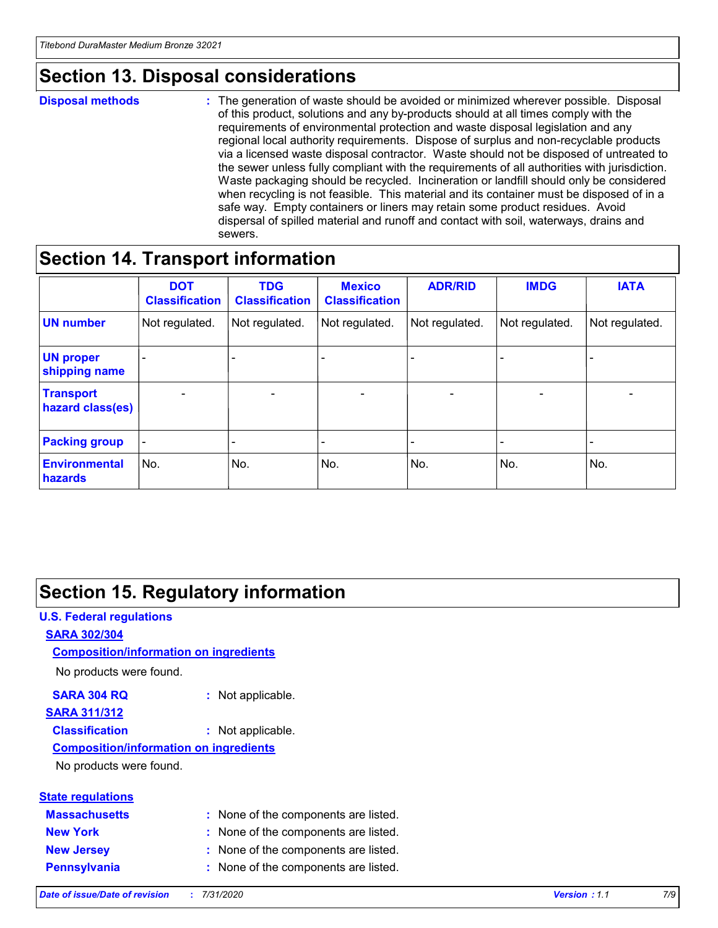# **Section 13. Disposal considerations**

#### **Disposal methods :**

The generation of waste should be avoided or minimized wherever possible. Disposal of this product, solutions and any by-products should at all times comply with the requirements of environmental protection and waste disposal legislation and any regional local authority requirements. Dispose of surplus and non-recyclable products via a licensed waste disposal contractor. Waste should not be disposed of untreated to the sewer unless fully compliant with the requirements of all authorities with jurisdiction. Waste packaging should be recycled. Incineration or landfill should only be considered when recycling is not feasible. This material and its container must be disposed of in a safe way. Empty containers or liners may retain some product residues. Avoid dispersal of spilled material and runoff and contact with soil, waterways, drains and sewers.

## **Section 14. Transport information**

|                                      | <b>DOT</b><br><b>Classification</b> | <b>TDG</b><br><b>Classification</b> | <b>Mexico</b><br><b>Classification</b> | <b>ADR/RID</b>           | <b>IMDG</b>              | <b>IATA</b>                  |
|--------------------------------------|-------------------------------------|-------------------------------------|----------------------------------------|--------------------------|--------------------------|------------------------------|
| <b>UN number</b>                     | Not regulated.                      | Not regulated.                      | Not regulated.                         | Not regulated.           | Not regulated.           | Not regulated.               |
| <b>UN proper</b><br>shipping name    |                                     | $\overline{\phantom{m}}$            |                                        |                          |                          | $\qquad \qquad \blacksquare$ |
| <b>Transport</b><br>hazard class(es) | $\blacksquare$                      | $\overline{\phantom{0}}$            | $\overline{\phantom{a}}$               | $\overline{\phantom{0}}$ | $\overline{\phantom{a}}$ | $\overline{\phantom{a}}$     |
| <b>Packing group</b>                 | $\overline{\phantom{a}}$            |                                     |                                        | -                        |                          | -                            |
| <b>Environmental</b><br>hazards      | No.                                 | No.                                 | No.                                    | No.                      | No.                      | No.                          |

## **Section 15. Regulatory information**

### **U.S. Federal regulations SARA 302/304** No products were found. **Composition/information on ingredients**

#### **SARA 304 RQ :** Not applicable. **SARA 311/312**

#### **Classification :** Not applicable.

### **Composition/information on ingredients**

No products were found.

| <b>State regulations</b> |                                      |
|--------------------------|--------------------------------------|
| <b>Massachusetts</b>     | : None of the components are listed. |
| <b>New York</b>          | : None of the components are listed. |
| <b>New Jersey</b>        | : None of the components are listed. |
| <b>Pennsylvania</b>      | : None of the components are listed. |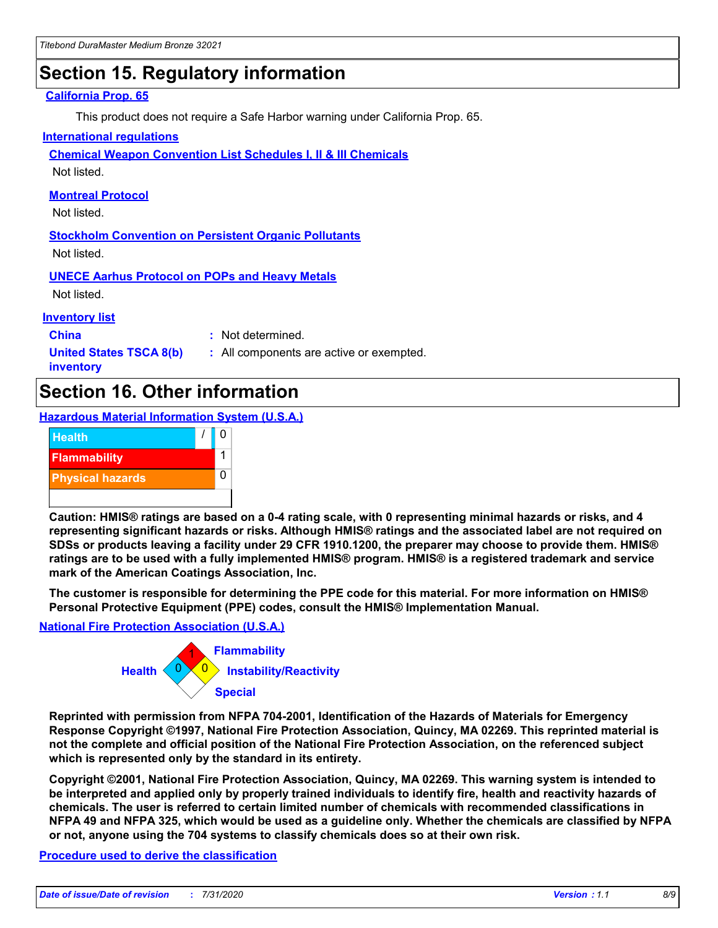# **Section 15. Regulatory information**

#### **California Prop. 65**

This product does not require a Safe Harbor warning under California Prop. 65.

#### **International regulations**

**Chemical Weapon Convention List Schedules I, II & III Chemicals**

Not listed.

#### **Montreal Protocol**

Not listed.

**Stockholm Convention on Persistent Organic Pollutants** Not listed.

**UNECE Aarhus Protocol on POPs and Heavy Metals**

Not listed.

#### **Inventory list**

**China :** Not determined.

**United States TSCA 8(b) inventory**

**:** All components are active or exempted.

## **Section 16. Other information**

**Hazardous Material Information System (U.S.A.)**



**Caution: HMIS® ratings are based on a 0-4 rating scale, with 0 representing minimal hazards or risks, and 4 representing significant hazards or risks. Although HMIS® ratings and the associated label are not required on SDSs or products leaving a facility under 29 CFR 1910.1200, the preparer may choose to provide them. HMIS® ratings are to be used with a fully implemented HMIS® program. HMIS® is a registered trademark and service mark of the American Coatings Association, Inc.**

**The customer is responsible for determining the PPE code for this material. For more information on HMIS® Personal Protective Equipment (PPE) codes, consult the HMIS® Implementation Manual.**

#### **National Fire Protection Association (U.S.A.)**



**Reprinted with permission from NFPA 704-2001, Identification of the Hazards of Materials for Emergency Response Copyright ©1997, National Fire Protection Association, Quincy, MA 02269. This reprinted material is not the complete and official position of the National Fire Protection Association, on the referenced subject which is represented only by the standard in its entirety.**

**Copyright ©2001, National Fire Protection Association, Quincy, MA 02269. This warning system is intended to be interpreted and applied only by properly trained individuals to identify fire, health and reactivity hazards of chemicals. The user is referred to certain limited number of chemicals with recommended classifications in NFPA 49 and NFPA 325, which would be used as a guideline only. Whether the chemicals are classified by NFPA or not, anyone using the 704 systems to classify chemicals does so at their own risk.**

#### **Procedure used to derive the classification**